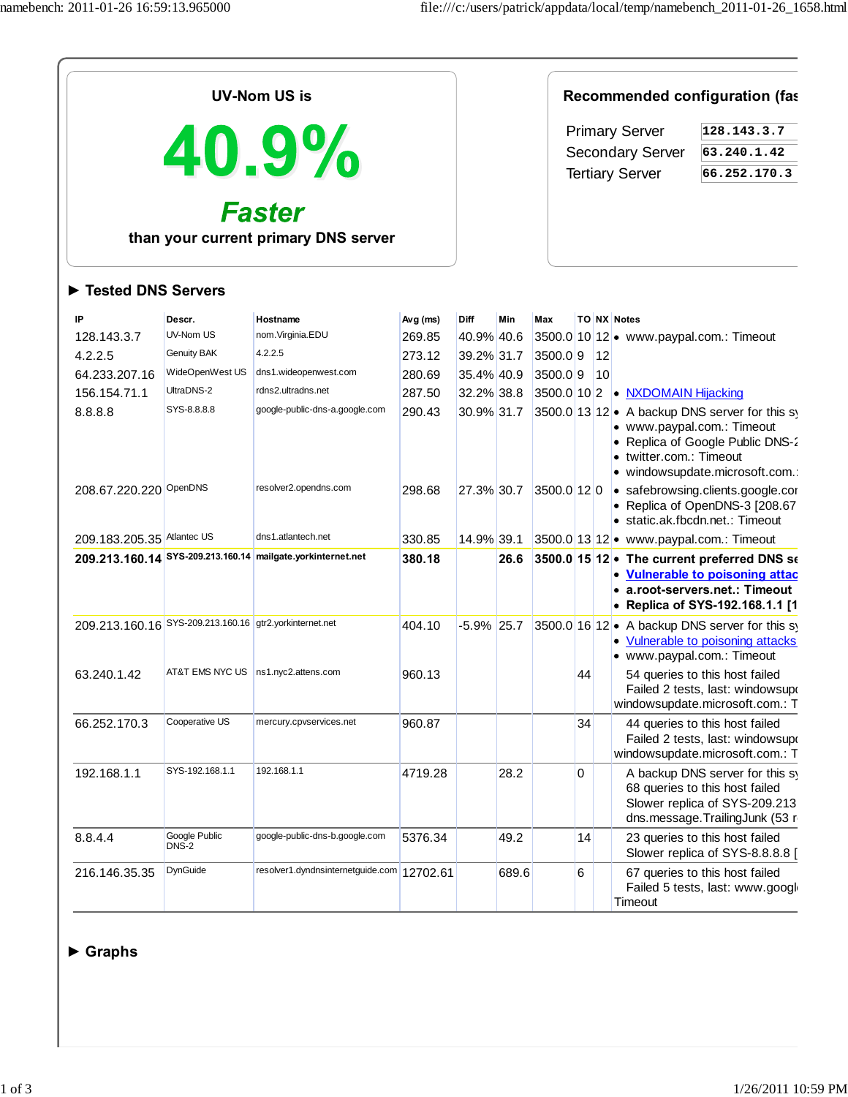| <b>UV-Nom US is</b>                                                      |                                                                                    |                                                                                                                          |                                                            |                                                                            |       | Recommended configuration (fas           |                                                                                                                          |           |                                                                                |                                                                                                                                                                                                   |
|--------------------------------------------------------------------------|------------------------------------------------------------------------------------|--------------------------------------------------------------------------------------------------------------------------|------------------------------------------------------------|----------------------------------------------------------------------------|-------|------------------------------------------|--------------------------------------------------------------------------------------------------------------------------|-----------|--------------------------------------------------------------------------------|---------------------------------------------------------------------------------------------------------------------------------------------------------------------------------------------------|
| 40.9%<br><b>Faster</b><br>than your current primary DNS server           |                                                                                    |                                                                                                                          |                                                            |                                                                            |       |                                          | <b>Primary Server</b><br>128.143.3.7<br><b>Secondary Server</b><br>63.240.1.42<br><b>Tertiary Server</b><br>66.252.170.3 |           |                                                                                |                                                                                                                                                                                                   |
| Tested DNS Servers                                                       |                                                                                    |                                                                                                                          |                                                            |                                                                            |       |                                          |                                                                                                                          |           |                                                                                |                                                                                                                                                                                                   |
| IP<br>128.143.3.7<br>4.2.2.5<br>64.233.207.16<br>156.154.71.1<br>8.8.8.8 | Descr.<br>UV-Nom US<br>Genuity BAK<br>WideOpenWest US<br>UltraDNS-2<br>SYS-8.8.8.8 | Hostname<br>nom.Virginia.EDU<br>4.2.2.5<br>dns1.wideopenwest.com<br>rdns2.ultradns.net<br>google-public-dns-a.google.com | Avg (ms)<br>269.85<br>273.12<br>280.69<br>287.50<br>290.43 | Diff<br>40.9% 40.6<br>39.2% 31.7<br>35.4% 40.9<br>32.2% 38.8<br>30.9% 31.7 | Min   | Max<br>3500.09<br>3500.09<br>3500.0 10 2 |                                                                                                                          | 12<br> 10 | TO NX Notes<br>3500.0 10 12 • www.paypal.com.: Timeout<br>• NXDOMAIN Hijacking | 3500.0 13 12 • A backup DNS server for this sy                                                                                                                                                    |
| 208.67.220.220 OpenDNS                                                   |                                                                                    | resolver2.opendns.com                                                                                                    | 298.68                                                     | 27.3% 30.7                                                                 |       | 3500.0 12 0                              |                                                                                                                          |           | · www.paypal.com.: Timeout<br>twitter.com.: Timeout                            | • Replica of Google Public DNS-2<br>· windowsupdate.microsoft.com.:<br>• safebrowsing.clients.google.cor<br>Replica of OpenDNS-3 [208.67<br>· static.ak.fbcdn.net.: Timeout                       |
| 209.183.205.35 Atlantec US                                               |                                                                                    | dns1.atlantech.net<br>209.213.160.14 SYS-209.213.160.14 mailgate.yorkinternet.net                                        | 330.85<br>380.18                                           | 14.9% 39.1                                                                 | 26.6  |                                          |                                                                                                                          |           | 3500.0 13 12 • www.paypal.com.: Timeout                                        | 3500.0 15 12 • The current preferred DNS se<br><b>Vulnerable to poisoning attac</b><br>a.root-servers.net.: Timeout<br>• Replica of SYS-192.168.1.1 [1                                            |
| 209.213.160.16 SYS-209.213.160.16 gtr2.yorkinternet.net<br>63.240.1.42   | AT&T EMS NYC US                                                                    | ns1.nyc2.attens.com                                                                                                      | 404.10<br>960.13                                           | $-5.9\%$ 25.7                                                              |       |                                          | 44                                                                                                                       |           | • www.paypal.com.: Timeout                                                     | 3500.0 16 12 • A backup DNS server for this sy<br><b>Vulnerable to poisoning attacks</b><br>54 queries to this host failed<br>Failed 2 tests, last: windowsupo<br>windowsupdate.microsoft.com.: T |
| 66.252.170.3                                                             | Cooperative US                                                                     | mercury.cpvservices.net                                                                                                  | 960.87                                                     |                                                                            |       |                                          | 34                                                                                                                       |           |                                                                                | 44 queries to this host failed<br>Failed 2 tests, last: windowsupo<br>windowsupdate.microsoft.com.: T                                                                                             |
| 192.168.1.1                                                              | SYS-192.168.1.1                                                                    | 192.168.1.1                                                                                                              | 4719.28                                                    |                                                                            | 28.2  |                                          | 0                                                                                                                        |           |                                                                                | A backup DNS server for this sy<br>68 queries to this host failed<br>Slower replica of SYS-209.213<br>dns.message.TrailingJunk (53 r                                                              |
| 8.8.4.4                                                                  | Google Public<br>DNS-2                                                             | google-public-dns-b.google.com                                                                                           | 5376.34                                                    |                                                                            | 49.2  |                                          | 14                                                                                                                       |           |                                                                                | 23 queries to this host failed<br>Slower replica of SYS-8.8.8.8 [                                                                                                                                 |
| 216.146.35.35                                                            | DynGuide                                                                           | resolver1.dyndnsinternetguide.com 12702.61                                                                               |                                                            |                                                                            | 689.6 |                                          | 6                                                                                                                        |           | Timeout                                                                        | 67 queries to this host failed<br>Failed 5 tests, last: www.googl                                                                                                                                 |

## **► Graphs**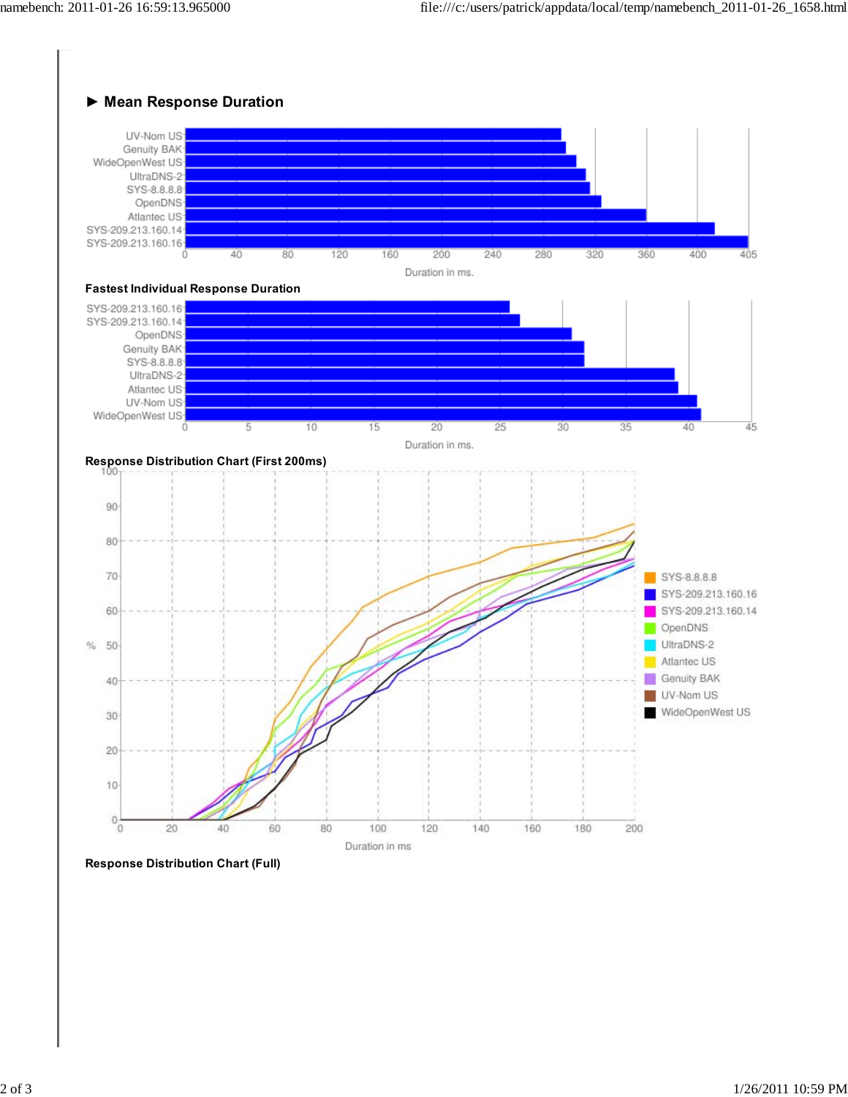